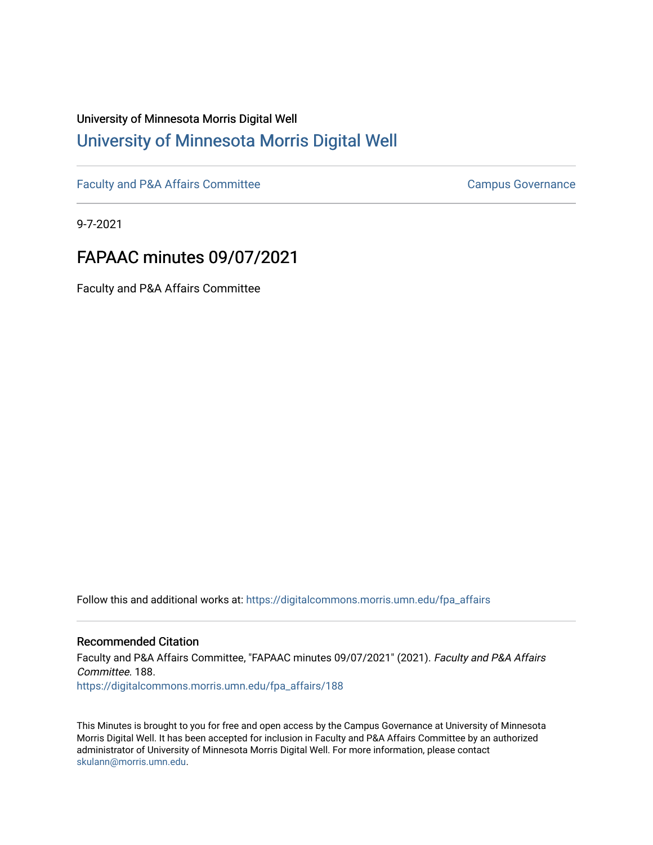# University of Minnesota Morris Digital Well [University of Minnesota Morris Digital Well](https://digitalcommons.morris.umn.edu/)

[Faculty and P&A Affairs Committee](https://digitalcommons.morris.umn.edu/fpa_affairs) [Campus Governance](https://digitalcommons.morris.umn.edu/campgov) Campus Governance

9-7-2021

# FAPAAC minutes 09/07/2021

Faculty and P&A Affairs Committee

Follow this and additional works at: [https://digitalcommons.morris.umn.edu/fpa\\_affairs](https://digitalcommons.morris.umn.edu/fpa_affairs?utm_source=digitalcommons.morris.umn.edu%2Ffpa_affairs%2F188&utm_medium=PDF&utm_campaign=PDFCoverPages)

#### Recommended Citation

Faculty and P&A Affairs Committee, "FAPAAC minutes 09/07/2021" (2021). Faculty and P&A Affairs Committee. 188. [https://digitalcommons.morris.umn.edu/fpa\\_affairs/188](https://digitalcommons.morris.umn.edu/fpa_affairs/188?utm_source=digitalcommons.morris.umn.edu%2Ffpa_affairs%2F188&utm_medium=PDF&utm_campaign=PDFCoverPages)

This Minutes is brought to you for free and open access by the Campus Governance at University of Minnesota Morris Digital Well. It has been accepted for inclusion in Faculty and P&A Affairs Committee by an authorized administrator of University of Minnesota Morris Digital Well. For more information, please contact [skulann@morris.umn.edu.](mailto:skulann@morris.umn.edu)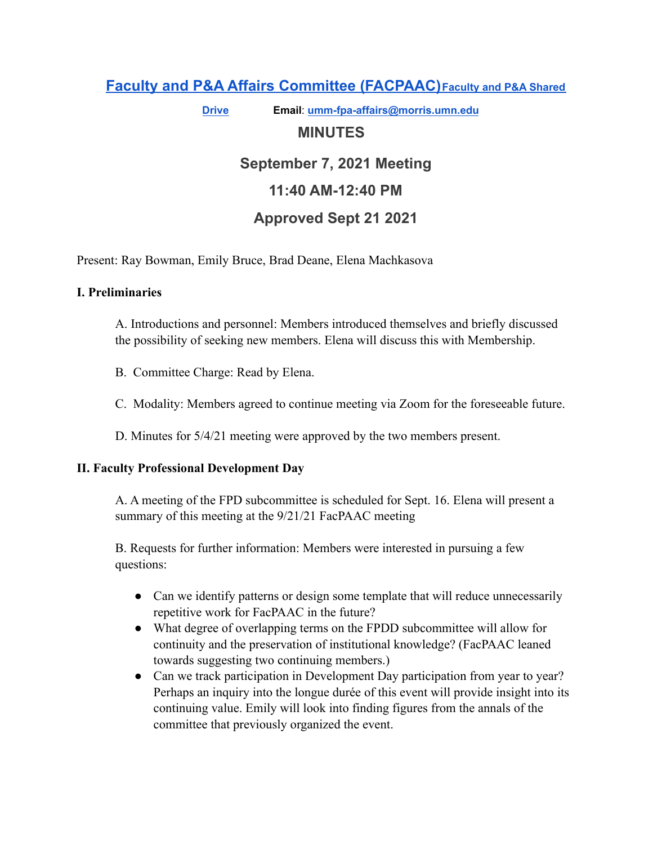## **Faculty and P&A Affairs Committee [\(FACPAAC\)](https://committees.morris.umn.edu/faculty-and-pa-affairs-committee)[Faculty](https://drive.google.com/drive/folders/0AMS1KlPy6WiOUk9PVA?ogsrc=32) and P&A Shared**

**[Drive](https://drive.google.com/drive/folders/0AMS1KlPy6WiOUk9PVA?ogsrc=32) Email**: **[umm-fpa-affairs@morris.umn.edu](mailto:umm-fpa-affairs@morris.umn.edu)**

## **MINUTES**

# **September 7, 2021 Meeting 11:40 AM-12:40 PM**

## **Approved Sept 21 2021**

Present: Ray Bowman, Emily Bruce, Brad Deane, Elena Machkasova

### **I. Preliminaries**

A. Introductions and personnel: Members introduced themselves and briefly discussed the possibility of seeking new members. Elena will discuss this with Membership.

- B. Committee Charge: Read by Elena.
- C. Modality: Members agreed to continue meeting via Zoom for the foreseeable future.

D. Minutes for 5/4/21 meeting were approved by the two members present.

#### **II. Faculty Professional Development Day**

A. A meeting of the FPD subcommittee is scheduled for Sept. 16. Elena will present a summary of this meeting at the  $9/21/21$  FacPAAC meeting

B. Requests for further information: Members were interested in pursuing a few questions:

- Can we identify patterns or design some template that will reduce unnecessarily repetitive work for FacPAAC in the future?
- What degree of overlapping terms on the FPDD subcommittee will allow for continuity and the preservation of institutional knowledge? (FacPAAC leaned towards suggesting two continuing members.)
- Can we track participation in Development Day participation from year to year? Perhaps an inquiry into the longue durée of this event will provide insight into its continuing value. Emily will look into finding figures from the annals of the committee that previously organized the event.